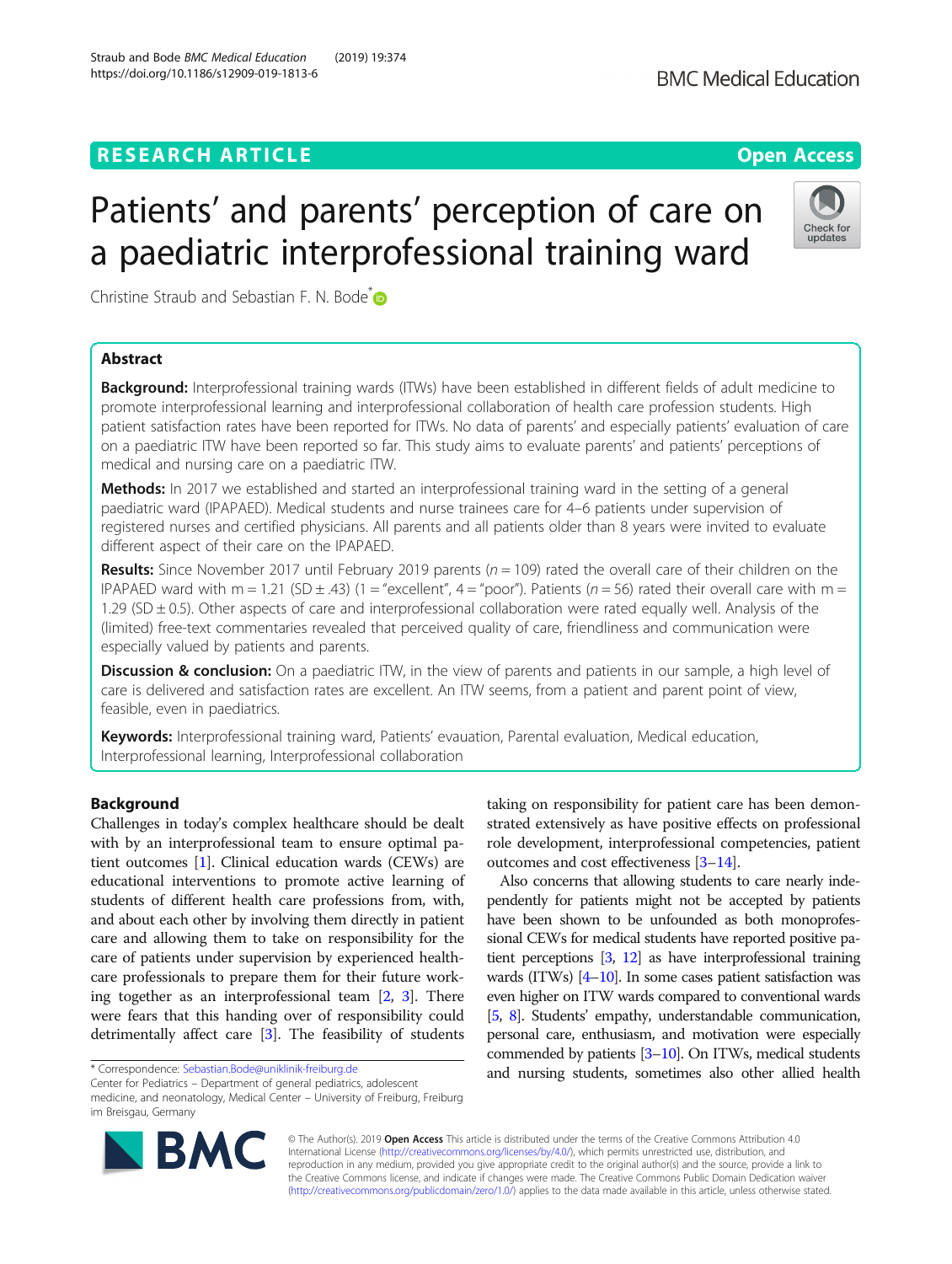# RESEARCH ARTICLE **External of the Contract Contract Contract Contract Contract Contract Contract Contract Contract Contract Contract Contract Contract Contract Contract Contract Contract Contract Contract Contract Contract**

# Patients' and parents' perception of care on a paediatric interprofessional training ward

Christine Straub and Sebastian F. N. Bode<sup>[\\*](http://orcid.org/0000-0001-7217-3312)</sup>

# Abstract

Background: Interprofessional training wards (ITWs) have been established in different fields of adult medicine to promote interprofessional learning and interprofessional collaboration of health care profession students. High patient satisfaction rates have been reported for ITWs. No data of parents' and especially patients' evaluation of care on a paediatric ITW have been reported so far. This study aims to evaluate parents' and patients' perceptions of medical and nursing care on a paediatric ITW.

Methods: In 2017 we established and started an interprofessional training ward in the setting of a general paediatric ward (IPAPAED). Medical students and nurse trainees care for 4–6 patients under supervision of registered nurses and certified physicians. All parents and all patients older than 8 years were invited to evaluate different aspect of their care on the IPAPAED.

Results: Since November 2017 until February 2019 parents ( $n = 109$ ) rated the overall care of their children on the IPAPAED ward with m = 1.21 (SD  $\pm$  .43) (1 = "excellent", 4 = "poor"). Patients (n = 56) rated their overall care with m = 1.29 (SD ± 0.5). Other aspects of care and interprofessional collaboration were rated equally well. Analysis of the (limited) free-text commentaries revealed that perceived quality of care, friendliness and communication were especially valued by patients and parents.

Discussion & conclusion: On a paediatric ITW, in the view of parents and patients in our sample, a high level of care is delivered and satisfaction rates are excellent. An ITW seems, from a patient and parent point of view, feasible, even in paediatrics.

Keywords: Interprofessional training ward, Patients' evauation, Parental evaluation, Medical education, Interprofessional learning, Interprofessional collaboration

# **Background**

Challenges in today's complex healthcare should be dealt with by an interprofessional team to ensure optimal patient outcomes [\[1](#page-5-0)]. Clinical education wards (CEWs) are educational interventions to promote active learning of students of different health care professions from, with, and about each other by involving them directly in patient care and allowing them to take on responsibility for the care of patients under supervision by experienced healthcare professionals to prepare them for their future working together as an interprofessional team [[2](#page-5-0), [3](#page-5-0)]. There were fears that this handing over of responsibility could detrimentally affect care [[3\]](#page-5-0). The feasibility of students

\* Correspondence: [Sebastian.Bode@uniklinik-freiburg.de](mailto:Sebastian.Bode@uniklinik-freiburg.de)

Center for Pediatrics – Department of general pediatrics, adolescent medicine, and neonatology, Medical Center – University of Freiburg, Freiburg im Breisgau, Germany

> © The Author(s). 2019 Open Access This article is distributed under the terms of the Creative Commons Attribution 4.0 International License [\(http://creativecommons.org/licenses/by/4.0/](http://creativecommons.org/licenses/by/4.0/)), which permits unrestricted use, distribution, and reproduction in any medium, provided you give appropriate credit to the original author(s) and the source, provide a link to the Creative Commons license, and indicate if changes were made. The Creative Commons Public Domain Dedication waiver [\(http://creativecommons.org/publicdomain/zero/1.0/](http://creativecommons.org/publicdomain/zero/1.0/)) applies to the data made available in this article, unless otherwise stated.

taking on responsibility for patient care has been demonstrated extensively as have positive effects on professional role development, interprofessional competencies, patient outcomes and cost effectiveness [[3](#page-5-0)–[14](#page-5-0)].

Also concerns that allowing students to care nearly independently for patients might not be accepted by patients have been shown to be unfounded as both monoprofessional CEWs for medical students have reported positive patient perceptions [\[3](#page-5-0), [12\]](#page-5-0) as have interprofessional training wards (ITWs) [[4](#page-5-0)–[10](#page-5-0)]. In some cases patient satisfaction was even higher on ITW wards compared to conventional wards [[5](#page-5-0), [8](#page-5-0)]. Students' empathy, understandable communication, personal care, enthusiasm, and motivation were especially commended by patients [\[3](#page-5-0)–[10](#page-5-0)]. On ITWs, medical students and nursing students, sometimes also other allied health





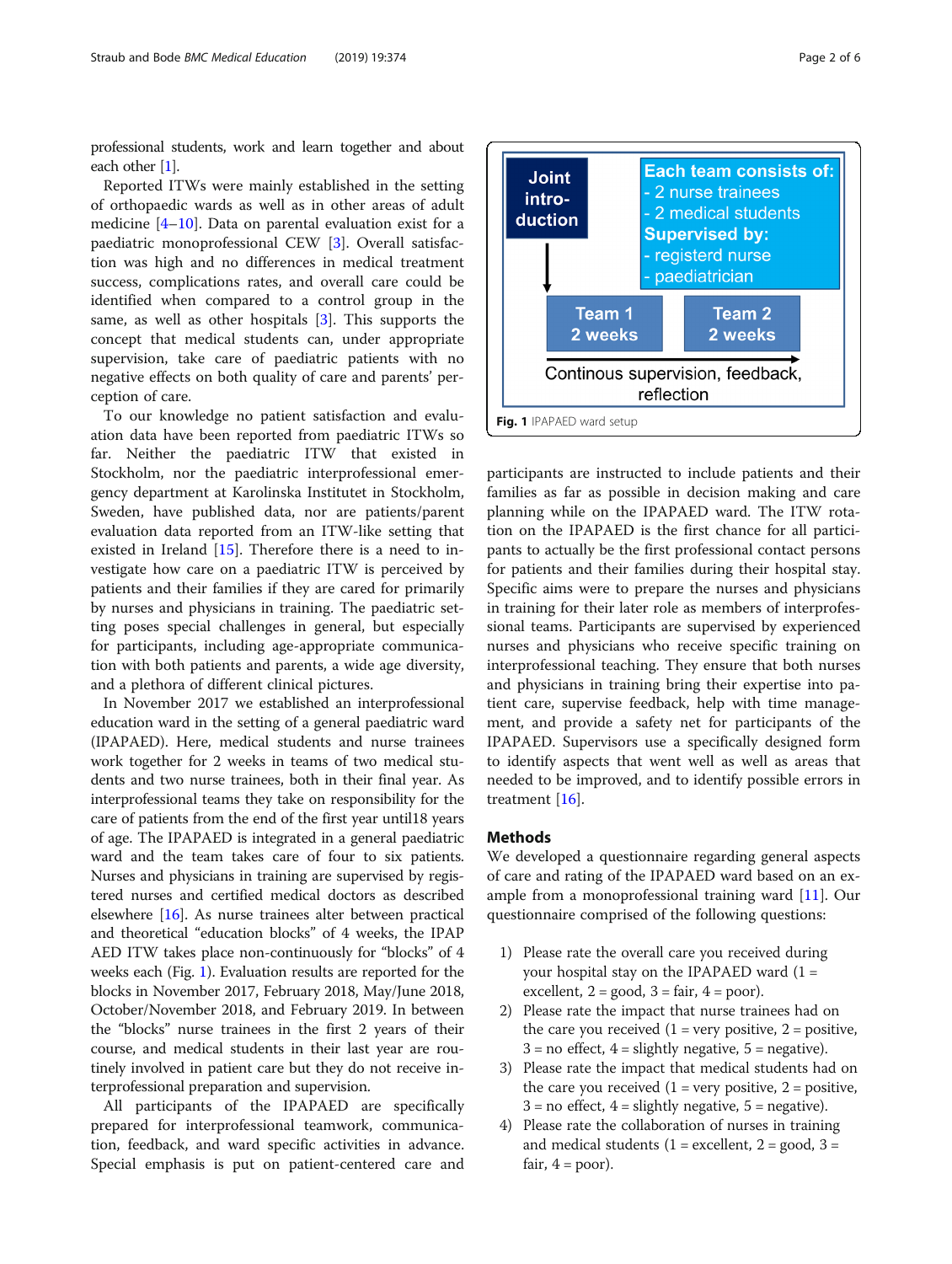<span id="page-1-0"></span>professional students, work and learn together and about each other [\[1](#page-5-0)].

Reported ITWs were mainly established in the setting of orthopaedic wards as well as in other areas of adult medicine [[4](#page-5-0)–[10](#page-5-0)]. Data on parental evaluation exist for a paediatric monoprofessional CEW [\[3](#page-5-0)]. Overall satisfaction was high and no differences in medical treatment success, complications rates, and overall care could be identified when compared to a control group in the same, as well as other hospitals [\[3](#page-5-0)]. This supports the concept that medical students can, under appropriate supervision, take care of paediatric patients with no negative effects on both quality of care and parents' perception of care.

To our knowledge no patient satisfaction and evaluation data have been reported from paediatric ITWs so far. Neither the paediatric ITW that existed in Stockholm, nor the paediatric interprofessional emergency department at Karolinska Institutet in Stockholm, Sweden, have published data, nor are patients/parent evaluation data reported from an ITW-like setting that existed in Ireland [[15\]](#page-5-0). Therefore there is a need to investigate how care on a paediatric ITW is perceived by patients and their families if they are cared for primarily by nurses and physicians in training. The paediatric setting poses special challenges in general, but especially for participants, including age-appropriate communication with both patients and parents, a wide age diversity, and a plethora of different clinical pictures.

In November 2017 we established an interprofessional education ward in the setting of a general paediatric ward (IPAPAED). Here, medical students and nurse trainees work together for 2 weeks in teams of two medical students and two nurse trainees, both in their final year. As interprofessional teams they take on responsibility for the care of patients from the end of the first year until18 years of age. The IPAPAED is integrated in a general paediatric ward and the team takes care of four to six patients. Nurses and physicians in training are supervised by registered nurses and certified medical doctors as described elsewhere [[16](#page-5-0)]. As nurse trainees alter between practical and theoretical "education blocks" of 4 weeks, the IPAP AED ITW takes place non-continuously for "blocks" of 4 weeks each (Fig. 1). Evaluation results are reported for the blocks in November 2017, February 2018, May/June 2018, October/November 2018, and February 2019. In between the "blocks" nurse trainees in the first 2 years of their course, and medical students in their last year are routinely involved in patient care but they do not receive interprofessional preparation and supervision.

All participants of the IPAPAED are specifically prepared for interprofessional teamwork, communication, feedback, and ward specific activities in advance. Special emphasis is put on patient-centered care and



participants are instructed to include patients and their families as far as possible in decision making and care planning while on the IPAPAED ward. The ITW rotation on the IPAPAED is the first chance for all participants to actually be the first professional contact persons for patients and their families during their hospital stay. Specific aims were to prepare the nurses and physicians in training for their later role as members of interprofessional teams. Participants are supervised by experienced nurses and physicians who receive specific training on interprofessional teaching. They ensure that both nurses and physicians in training bring their expertise into patient care, supervise feedback, help with time management, and provide a safety net for participants of the IPAPAED. Supervisors use a specifically designed form to identify aspects that went well as well as areas that needed to be improved, and to identify possible errors in treatment [[16\]](#page-5-0).

# Methods

We developed a questionnaire regarding general aspects of care and rating of the IPAPAED ward based on an example from a monoprofessional training ward [\[11](#page-5-0)]. Our questionnaire comprised of the following questions:

- 1) Please rate the overall care you received during your hospital stay on the IPAPAED ward  $(1 =$ excellent,  $2 = \text{good}$ ,  $3 = \text{fair}$ ,  $4 = \text{poor}$ ).
- 2) Please rate the impact that nurse trainees had on the care you received  $(1 = \text{very positive}, 2 = \text{positive})$  $3 = no$  effect,  $4 =$  slightly negative,  $5 =$  negative).
- 3) Please rate the impact that medical students had on the care you received  $(1 = \text{very positive}, 2 = \text{positive})$ ,  $3 = no$  effect,  $4 =$  slightly negative,  $5 =$  negative).
- 4) Please rate the collaboration of nurses in training and medical students  $(1 = \text{excellent}, 2 = \text{good}, 3 = \text{const})$ fair,  $4 = poor$ ).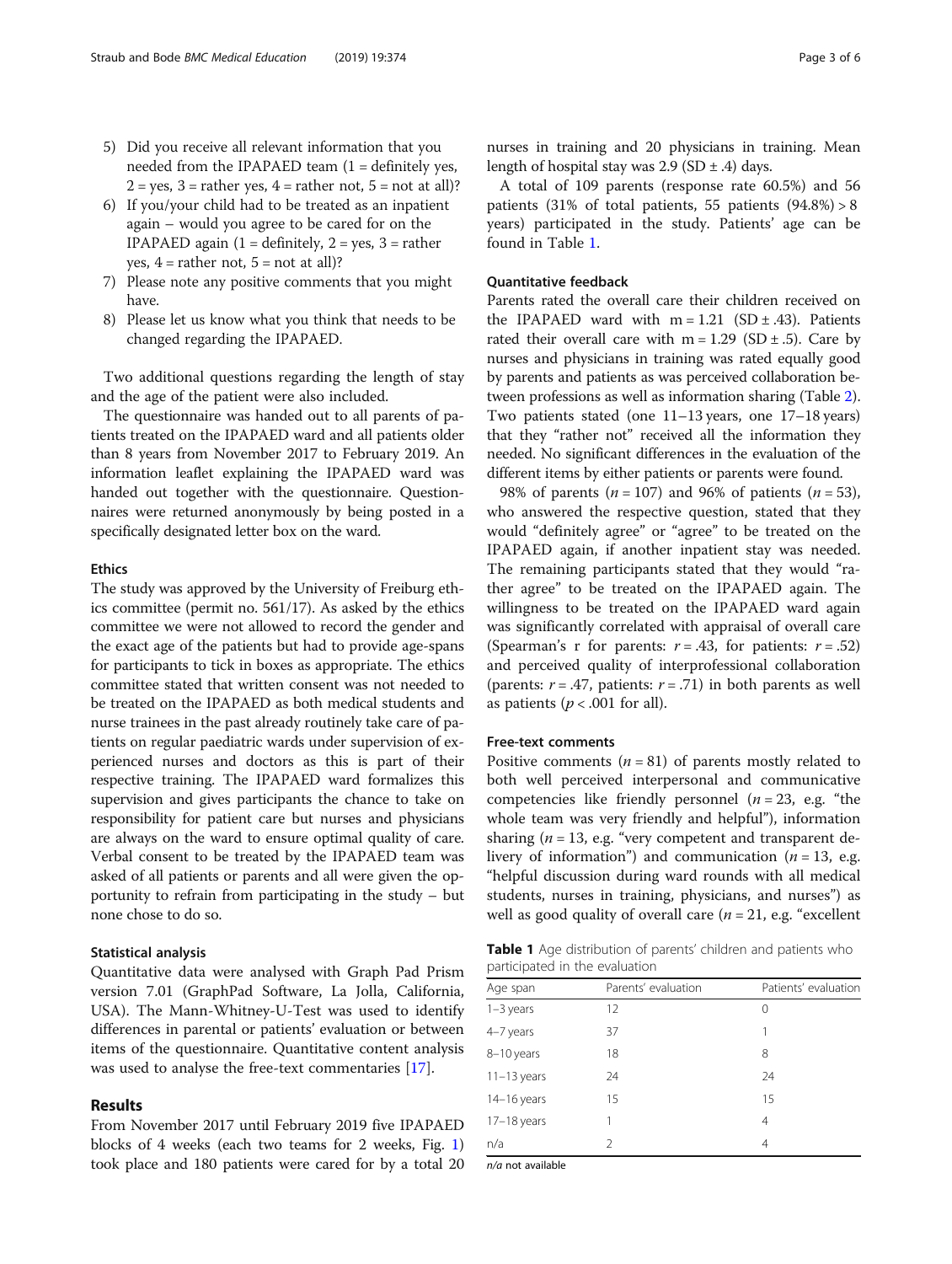- 5) Did you receive all relevant information that you needed from the IPAPAED team  $(1 =$  definitely yes,  $2 = yes$ ,  $3 = rather yes$ ,  $4 = rather not$ ,  $5 = not at all$ ?
- 6) If you/your child had to be treated as an inpatient again – would you agree to be cared for on the IPAPAED again  $(1 =$  definitely,  $2 =$  yes,  $3 =$  rather yes,  $4 =$  rather not,  $5 =$  not at all)?
- 7) Please note any positive comments that you might have.
- 8) Please let us know what you think that needs to be changed regarding the IPAPAED.

Two additional questions regarding the length of stay and the age of the patient were also included.

The questionnaire was handed out to all parents of patients treated on the IPAPAED ward and all patients older than 8 years from November 2017 to February 2019. An information leaflet explaining the IPAPAED ward was handed out together with the questionnaire. Questionnaires were returned anonymously by being posted in a specifically designated letter box on the ward.

## Ethics

The study was approved by the University of Freiburg ethics committee (permit no. 561/17). As asked by the ethics committee we were not allowed to record the gender and the exact age of the patients but had to provide age-spans for participants to tick in boxes as appropriate. The ethics committee stated that written consent was not needed to be treated on the IPAPAED as both medical students and nurse trainees in the past already routinely take care of patients on regular paediatric wards under supervision of experienced nurses and doctors as this is part of their respective training. The IPAPAED ward formalizes this supervision and gives participants the chance to take on responsibility for patient care but nurses and physicians are always on the ward to ensure optimal quality of care. Verbal consent to be treated by the IPAPAED team was asked of all patients or parents and all were given the opportunity to refrain from participating in the study – but none chose to do so.

# Statistical analysis

Quantitative data were analysed with Graph Pad Prism version 7.01 (GraphPad Software, La Jolla, California, USA). The Mann-Whitney-U-Test was used to identify differences in parental or patients' evaluation or between items of the questionnaire. Quantitative content analysis was used to analyse the free-text commentaries [[17\]](#page-5-0).

## Results

From November 2017 until February 2019 five IPAPAED blocks of 4 weeks (each two teams for 2 weeks, Fig. [1](#page-1-0)) took place and 180 patients were cared for by a total 20 nurses in training and 20 physicians in training. Mean length of hospital stay was  $2.9$  (SD  $\pm$  .4) days.

A total of 109 parents (response rate 60.5%) and 56 patients  $(31\% \text{ of total patients}, 55 \text{ patients } (94.8\%) > 8$ years) participated in the study. Patients' age can be found in Table 1.

# Quantitative feedback

Parents rated the overall care their children received on the IPAPAED ward with  $m = 1.21$  (SD  $\pm$  .43). Patients rated their overall care with  $m = 1.29$  (SD  $\pm$  .5). Care by nurses and physicians in training was rated equally good by parents and patients as was perceived collaboration between professions as well as information sharing (Table [2](#page-3-0)). Two patients stated (one 11–13 years, one 17–18 years) that they "rather not" received all the information they needed. No significant differences in the evaluation of the different items by either patients or parents were found.

98% of parents ( $n = 107$ ) and 96% of patients ( $n = 53$ ), who answered the respective question, stated that they would "definitely agree" or "agree" to be treated on the IPAPAED again, if another inpatient stay was needed. The remaining participants stated that they would "rather agree" to be treated on the IPAPAED again. The willingness to be treated on the IPAPAED ward again was significantly correlated with appraisal of overall care (Spearman's r for parents:  $r = .43$ , for patients:  $r = .52$ ) and perceived quality of interprofessional collaboration (parents:  $r = .47$ , patients:  $r = .71$ ) in both parents as well as patients ( $p < .001$  for all).

## Free-text comments

Positive comments ( $n = 81$ ) of parents mostly related to both well perceived interpersonal and communicative competencies like friendly personnel ( $n = 23$ , e.g. "the whole team was very friendly and helpful"), information sharing ( $n = 13$ , e.g. "very competent and transparent delivery of information") and communication ( $n = 13$ , e.g. "helpful discussion during ward rounds with all medical students, nurses in training, physicians, and nurses") as well as good quality of overall care ( $n = 21$ , e.g. "excellent

| <b>Table 1</b> Age distribution of parents' children and patients who |  |  |
|-----------------------------------------------------------------------|--|--|
| participated in the evaluation                                        |  |  |

| Age span      | Parents' evaluation | Patients' evaluation |
|---------------|---------------------|----------------------|
| $1-3$ years   | 12                  | 0                    |
| 4-7 years     | 37                  |                      |
| 8-10 years    | 18                  | 8                    |
| $11-13$ years | 24                  | 24                   |
| $14-16$ years | 15                  | 15                   |
| $17-18$ years |                     | 4                    |
| n/a           | $\mathcal{P}$       | 4                    |

n/a not available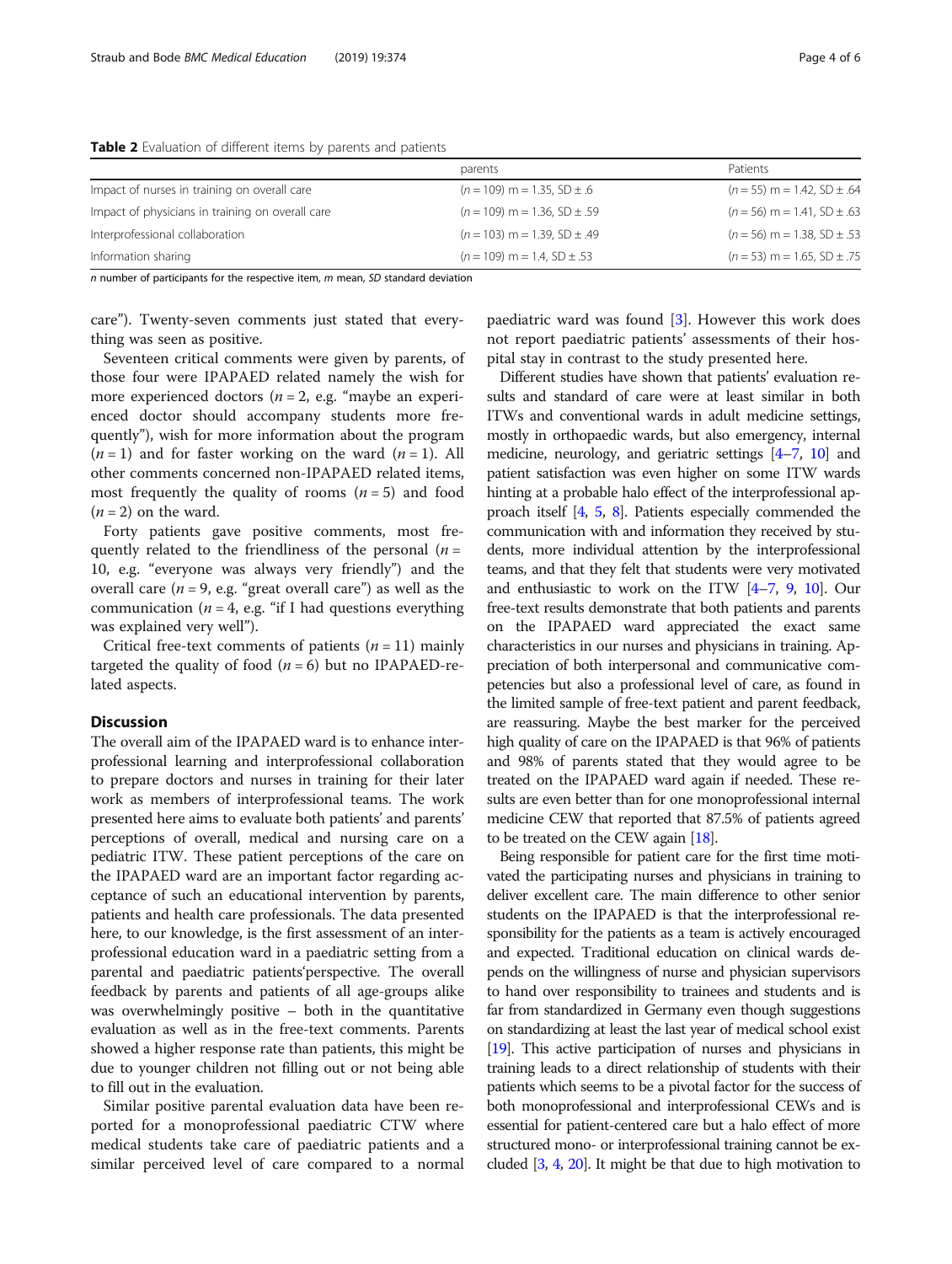|                                                  | parents                            | Patients                          |
|--------------------------------------------------|------------------------------------|-----------------------------------|
| Impact of nurses in training on overall care     | $(n = 109)$ m = 1.35, SD $\pm$ .6  | $(n = 55)$ m = 1.42, SD $\pm$ .64 |
| Impact of physicians in training on overall care | $(n = 109)$ m = 1.36, SD ± .59     | $(n = 56)$ m = 1.41. SD ± .63     |
| Interprofessional collaboration                  | $(n = 103)$ m = 1.39, SD $\pm$ .49 | $(n = 56)$ m = 1.38, SD $\pm$ .53 |
| Information sharing                              | $(n = 109)$ m = 1.4, SD $\pm$ .53  | $(n = 53)$ m = 1.65, SD $\pm$ .75 |

<span id="page-3-0"></span>Table 2 Evaluation of different items by parents and patients

 $n$  number of participants for the respective item,  $m$  mean, SD standard deviation

care"). Twenty-seven comments just stated that everything was seen as positive.

Seventeen critical comments were given by parents, of those four were IPAPAED related namely the wish for more experienced doctors ( $n = 2$ , e.g. "maybe an experienced doctor should accompany students more frequently"), wish for more information about the program  $(n = 1)$  and for faster working on the ward  $(n = 1)$ . All other comments concerned non-IPAPAED related items, most frequently the quality of rooms  $(n = 5)$  and food  $(n = 2)$  on the ward.

Forty patients gave positive comments, most frequently related to the friendliness of the personal  $(n =$ 10, e.g. "everyone was always very friendly") and the overall care ( $n = 9$ , e.g. "great overall care") as well as the communication ( $n = 4$ , e.g. "if I had questions everything was explained very well").

Critical free-text comments of patients  $(n = 11)$  mainly targeted the quality of food  $(n = 6)$  but no IPAPAED-related aspects.

# Discussion

The overall aim of the IPAPAED ward is to enhance interprofessional learning and interprofessional collaboration to prepare doctors and nurses in training for their later work as members of interprofessional teams. The work presented here aims to evaluate both patients' and parents' perceptions of overall, medical and nursing care on a pediatric ITW. These patient perceptions of the care on the IPAPAED ward are an important factor regarding acceptance of such an educational intervention by parents, patients and health care professionals. The data presented here, to our knowledge, is the first assessment of an interprofessional education ward in a paediatric setting from a parental and paediatric patients'perspective. The overall feedback by parents and patients of all age-groups alike was overwhelmingly positive – both in the quantitative evaluation as well as in the free-text comments. Parents showed a higher response rate than patients, this might be due to younger children not filling out or not being able to fill out in the evaluation.

Similar positive parental evaluation data have been reported for a monoprofessional paediatric CTW where medical students take care of paediatric patients and a similar perceived level of care compared to a normal

paediatric ward was found [\[3](#page-5-0)]. However this work does not report paediatric patients' assessments of their hospital stay in contrast to the study presented here.

Different studies have shown that patients' evaluation results and standard of care were at least similar in both ITWs and conventional wards in adult medicine settings, mostly in orthopaedic wards, but also emergency, internal medicine, neurology, and geriatric settings [\[4](#page-5-0)–[7](#page-5-0), [10](#page-5-0)] and patient satisfaction was even higher on some ITW wards hinting at a probable halo effect of the interprofessional approach itself [\[4](#page-5-0), [5,](#page-5-0) [8\]](#page-5-0). Patients especially commended the communication with and information they received by students, more individual attention by the interprofessional teams, and that they felt that students were very motivated and enthusiastic to work on the ITW [\[4](#page-5-0)–[7](#page-5-0), [9,](#page-5-0) [10\]](#page-5-0). Our free-text results demonstrate that both patients and parents on the IPAPAED ward appreciated the exact same characteristics in our nurses and physicians in training. Appreciation of both interpersonal and communicative competencies but also a professional level of care, as found in the limited sample of free-text patient and parent feedback, are reassuring. Maybe the best marker for the perceived high quality of care on the IPAPAED is that 96% of patients and 98% of parents stated that they would agree to be treated on the IPAPAED ward again if needed. These results are even better than for one monoprofessional internal medicine CEW that reported that 87.5% of patients agreed to be treated on the CEW again [\[18](#page-5-0)].

Being responsible for patient care for the first time motivated the participating nurses and physicians in training to deliver excellent care. The main difference to other senior students on the IPAPAED is that the interprofessional responsibility for the patients as a team is actively encouraged and expected. Traditional education on clinical wards depends on the willingness of nurse and physician supervisors to hand over responsibility to trainees and students and is far from standardized in Germany even though suggestions on standardizing at least the last year of medical school exist [[19\]](#page-5-0). This active participation of nurses and physicians in training leads to a direct relationship of students with their patients which seems to be a pivotal factor for the success of both monoprofessional and interprofessional CEWs and is essential for patient-centered care but a halo effect of more structured mono- or interprofessional training cannot be excluded [\[3,](#page-5-0) [4,](#page-5-0) [20\]](#page-5-0). It might be that due to high motivation to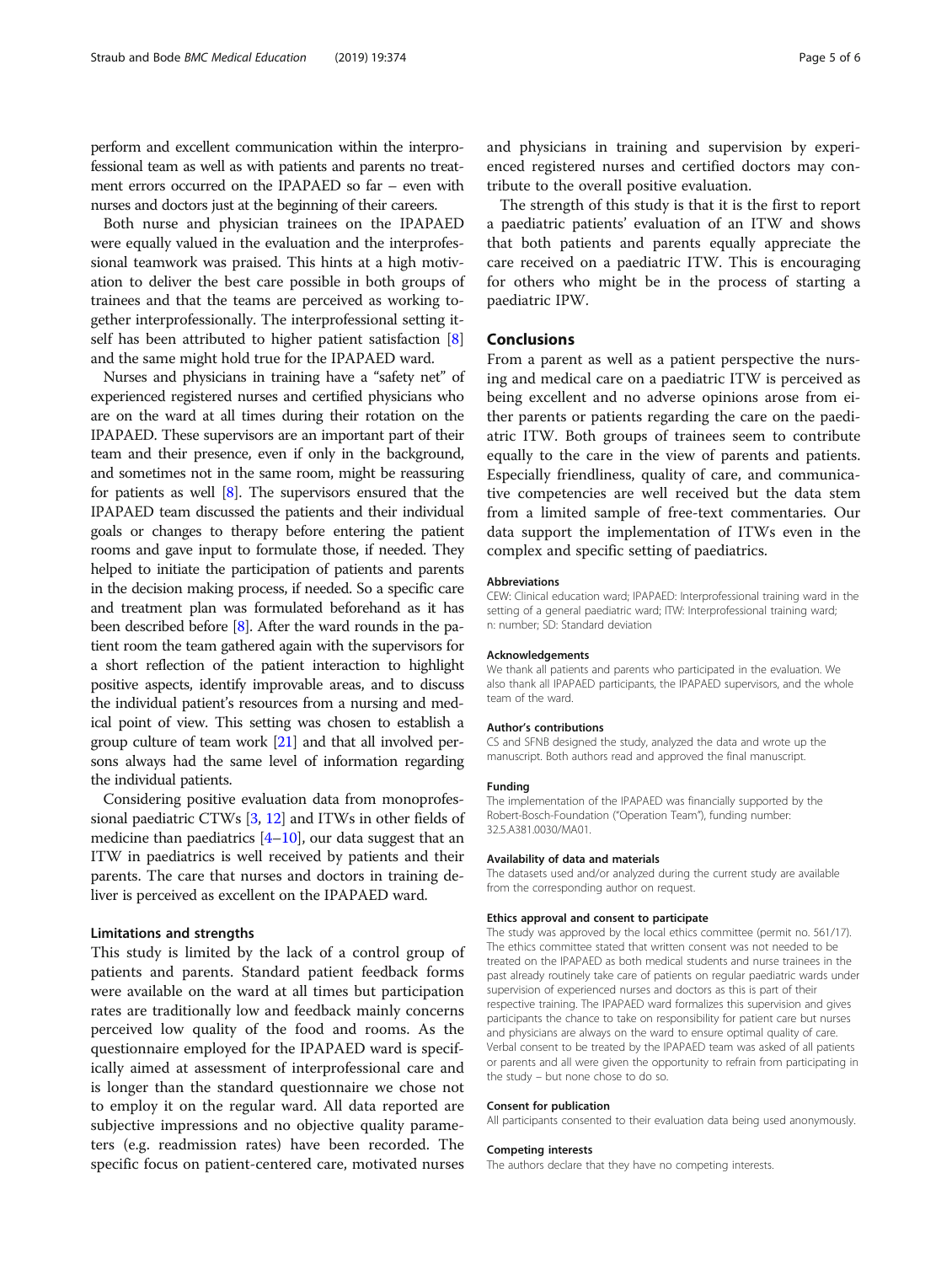perform and excellent communication within the interprofessional team as well as with patients and parents no treatment errors occurred on the IPAPAED so far – even with nurses and doctors just at the beginning of their careers.

Both nurse and physician trainees on the IPAPAED were equally valued in the evaluation and the interprofessional teamwork was praised. This hints at a high motivation to deliver the best care possible in both groups of trainees and that the teams are perceived as working together interprofessionally. The interprofessional setting it-self has been attributed to higher patient satisfaction [[8](#page-5-0)] and the same might hold true for the IPAPAED ward.

Nurses and physicians in training have a "safety net" of experienced registered nurses and certified physicians who are on the ward at all times during their rotation on the IPAPAED. These supervisors are an important part of their team and their presence, even if only in the background, and sometimes not in the same room, might be reassuring for patients as well [[8](#page-5-0)]. The supervisors ensured that the IPAPAED team discussed the patients and their individual goals or changes to therapy before entering the patient rooms and gave input to formulate those, if needed. They helped to initiate the participation of patients and parents in the decision making process, if needed. So a specific care and treatment plan was formulated beforehand as it has been described before [\[8](#page-5-0)]. After the ward rounds in the patient room the team gathered again with the supervisors for a short reflection of the patient interaction to highlight positive aspects, identify improvable areas, and to discuss the individual patient's resources from a nursing and medical point of view. This setting was chosen to establish a group culture of team work [[21](#page-5-0)] and that all involved persons always had the same level of information regarding the individual patients.

Considering positive evaluation data from monoprofessional paediatric CTWs [[3](#page-5-0), [12\]](#page-5-0) and ITWs in other fields of medicine than paediatrics  $[4-10]$  $[4-10]$  $[4-10]$ , our data suggest that an ITW in paediatrics is well received by patients and their parents. The care that nurses and doctors in training deliver is perceived as excellent on the IPAPAED ward.

# Limitations and strengths

This study is limited by the lack of a control group of patients and parents. Standard patient feedback forms were available on the ward at all times but participation rates are traditionally low and feedback mainly concerns perceived low quality of the food and rooms. As the questionnaire employed for the IPAPAED ward is specifically aimed at assessment of interprofessional care and is longer than the standard questionnaire we chose not to employ it on the regular ward. All data reported are subjective impressions and no objective quality parameters (e.g. readmission rates) have been recorded. The specific focus on patient-centered care, motivated nurses

and physicians in training and supervision by experienced registered nurses and certified doctors may contribute to the overall positive evaluation.

The strength of this study is that it is the first to report a paediatric patients' evaluation of an ITW and shows that both patients and parents equally appreciate the care received on a paediatric ITW. This is encouraging for others who might be in the process of starting a paediatric IPW.

# Conclusions

From a parent as well as a patient perspective the nursing and medical care on a paediatric ITW is perceived as being excellent and no adverse opinions arose from either parents or patients regarding the care on the paediatric ITW. Both groups of trainees seem to contribute equally to the care in the view of parents and patients. Especially friendliness, quality of care, and communicative competencies are well received but the data stem from a limited sample of free-text commentaries. Our data support the implementation of ITWs even in the complex and specific setting of paediatrics.

### Abbreviations

CEW: Clinical education ward; IPAPAED: Interprofessional training ward in the setting of a general paediatric ward; ITW: Interprofessional training ward; n: number; SD: Standard deviation

#### Acknowledgements

We thank all patients and parents who participated in the evaluation. We also thank all IPAPAED participants, the IPAPAED supervisors, and the whole team of the ward.

#### Author's contributions

CS and SFNB designed the study, analyzed the data and wrote up the manuscript. Both authors read and approved the final manuscript.

#### Funding

The implementation of the IPAPAED was financially supported by the Robert-Bosch-Foundation ("Operation Team"), funding number: 32.5.A381.0030/MA01.

#### Availability of data and materials

The datasets used and/or analyzed during the current study are available from the corresponding author on request.

#### Ethics approval and consent to participate

The study was approved by the local ethics committee (permit no. 561/17). The ethics committee stated that written consent was not needed to be treated on the IPAPAED as both medical students and nurse trainees in the past already routinely take care of patients on regular paediatric wards under supervision of experienced nurses and doctors as this is part of their respective training. The IPAPAED ward formalizes this supervision and gives participants the chance to take on responsibility for patient care but nurses and physicians are always on the ward to ensure optimal quality of care. Verbal consent to be treated by the IPAPAED team was asked of all patients or parents and all were given the opportunity to refrain from participating in the study – but none chose to do so.

## Consent for publication

All participants consented to their evaluation data being used anonymously.

# Competing interests

The authors declare that they have no competing interests.